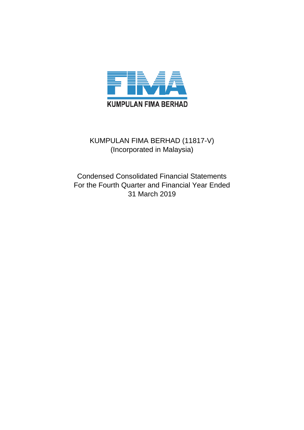

# KUMPULAN FIMA BERHAD (11817-V) (Incorporated in Malaysia)

Condensed Consolidated Financial Statements For the Fourth Quarter and Financial Year Ended 31 March 2019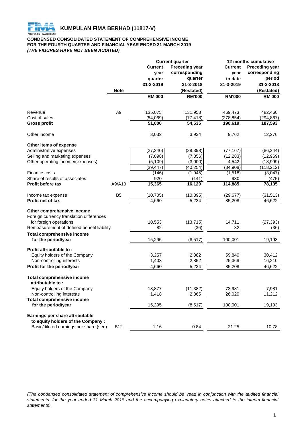

## **CONDENSED CONSOLIDATED STATEMENT OF COMPREHENSIVE INCOME FOR THE FOURTH QUARTER AND FINANCIAL YEAR ENDED 31 MARCH 2019** *(THE FIGURES HAVE NOT BEEN AUDITED)*

|                                                                |                | <b>Current quarter</b> |                       | 12 months cumulative |                       |  |
|----------------------------------------------------------------|----------------|------------------------|-----------------------|----------------------|-----------------------|--|
|                                                                |                | <b>Current</b>         | <b>Preceding year</b> | <b>Current</b>       | <b>Preceding year</b> |  |
|                                                                |                | year                   | corresponding         | year                 | corresponding         |  |
|                                                                |                | quarter                | quarter               | to date              | period                |  |
|                                                                |                | 31-3-2019              | 31-3-2018             | 31-3-2019            | 31-3-2018             |  |
|                                                                | <b>Note</b>    |                        | (Restated)            |                      | (Restated)            |  |
|                                                                |                | <b>RM'000</b>          | <b>RM'000</b>         | <b>RM'000</b>        | <b>RM'000</b>         |  |
| Revenue                                                        | A <sub>9</sub> | 135,075                | 131,953               | 469,473              | 482,460               |  |
| Cost of sales                                                  |                | (84,069)               | (77, 418)             | (278, 854)           | (294,867)             |  |
| <b>Gross profit</b>                                            |                | 51,006                 | 54,535                | 190,619              | 187,593               |  |
| Other income                                                   |                | 3,032                  | 3,934                 | 9,762                | 12,276                |  |
| Other items of expense                                         |                |                        |                       |                      |                       |  |
| Administrative expenses                                        |                | (27, 240)              | (29, 398)             | (77, 167)            | (86, 244)             |  |
| Selling and marketing expenses                                 |                | (7,098)                | (7, 856)              | (12, 283)            | (12,969)              |  |
| Other operating income/(expenses)                              |                | (5, 109)               | (3,000)               | 4,542                | (18,999)              |  |
|                                                                |                | (39, 447)              | (40, 254)             | (84,908)             | (118, 212)            |  |
| Finance costs                                                  |                | (146)                  | (1,945)               | (1,518)              | (3,047)               |  |
| Share of results of associates                                 |                | 920                    | (141)                 | 930                  | (475)                 |  |
| <b>Profit before tax</b>                                       | A9/A10         | 15,365                 | 16,129                | 114,885              | 78,135                |  |
| Income tax expense                                             | B <sub>5</sub> | (10, 705)              | (10, 895)             | (29, 677)            | (31, 513)             |  |
| Profit net of tax                                              |                | 4,660                  | 5,234                 | 85,208               | 46,622                |  |
| Other comprehensive income                                     |                |                        |                       |                      |                       |  |
| Foreign currency translation differences                       |                |                        |                       |                      |                       |  |
| for foreign operations                                         |                | 10,553                 | (13, 715)             | 14,711               | (27, 393)             |  |
| Remeasurement of defined benefit liability                     |                | 82                     | (36)                  | 82                   | (36)                  |  |
| <b>Total comprehensive income</b>                              |                |                        |                       |                      |                       |  |
| for the period/year                                            |                | 15,295                 | (8, 517)              | 100,001              | 19,193                |  |
| Profit attributable to:                                        |                |                        |                       |                      |                       |  |
| Equity holders of the Company                                  |                | 3,257                  | 2,382                 | 59,840               | 30,412                |  |
| Non-controlling interests                                      |                | 1,403                  | 2,852                 | 25,368               | 16,210                |  |
| Profit for the period/year                                     |                | 4,660                  | 5,234                 | 85,208               | 46,622                |  |
| <b>Total comprehensive income</b>                              |                |                        |                       |                      |                       |  |
| attributable to:                                               |                |                        |                       |                      |                       |  |
| Equity holders of the Company                                  |                | 13,877                 | (11, 382)             | 73,981               | 7,981                 |  |
| Non-controlling interests<br><b>Total comprehensive income</b> |                | 1,418                  | 2,865                 | 26,020               | 11,212                |  |
| for the period/year                                            |                | 15,295                 | (8, 517)              | 100,001              | 19,193                |  |
| Earnings per share attributable                                |                |                        |                       |                      |                       |  |
| to equity holders of the Company:                              |                |                        |                       |                      |                       |  |
| Basic/diluted earnings per share (sen)                         | <b>B12</b>     | 1.16                   | 0.84                  | 21.25                | 10.78                 |  |
|                                                                |                |                        |                       |                      |                       |  |

(The condensed consolidated statement of comprehensive income should be read in conjunction with the audited financial statements for the year ended 31 March 2018 and the accompanying explanatory notes attached to the interim financial *statements).*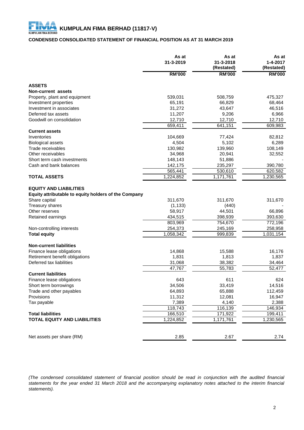## **CONDENSED CONSOLIDATED STATEMENT OF FINANCIAL POSITION AS AT 31 MARCH 2019**

|                                                                                       | As at<br>31-3-2019 | As at<br>31-3-2018<br>(Restated) | As at<br>$1 - 4 - 2017$<br>(Restated) |
|---------------------------------------------------------------------------------------|--------------------|----------------------------------|---------------------------------------|
|                                                                                       | <b>RM'000</b>      | <b>RM'000</b>                    | <b>RM'000</b>                         |
| <b>ASSETS</b>                                                                         |                    |                                  |                                       |
| Non-current assets                                                                    |                    |                                  |                                       |
| Property, plant and equipment                                                         | 539,031            | 508,759                          | 475,327                               |
| Investment properties                                                                 | 65,191             | 66,829                           | 68,464                                |
| Investment in associates                                                              | 31,272             | 43,647                           | 46,516                                |
| Deferred tax assets                                                                   | 11,207             | 9,206                            | 6,966                                 |
| Goodwill on consolidation                                                             | 12,710             | 12,710                           | 12,710                                |
|                                                                                       | 659,411            | 641,151                          | 609,983                               |
| <b>Current assets</b>                                                                 |                    |                                  |                                       |
|                                                                                       |                    |                                  |                                       |
| Inventories                                                                           | 104,669            | 77,424                           | 82,812                                |
| <b>Biological assets</b>                                                              | 4,504              | 5,102                            | 6,289                                 |
| Trade receivables                                                                     | 130,982            | 139,960                          | 108,149                               |
| Other receivables                                                                     | 34,968             | 20,941                           | 32,552                                |
| Short term cash investments                                                           | 148,143            | 51,886                           |                                       |
| Cash and bank balances                                                                | 142,175            | 235,297                          | 390,780                               |
|                                                                                       | 565,441            | 530,610                          | 620,582                               |
| <b>TOTAL ASSETS</b>                                                                   | 1,224,852          | 1,171,761                        | 1,230,565                             |
| <b>EQUITY AND LIABILITIES</b><br>Equity attributable to equity holders of the Company |                    |                                  |                                       |
| Share capital                                                                         | 311,670            | 311,670                          | 311,670                               |
| Treasury shares                                                                       | (1, 133)           | (440)                            |                                       |
| Other reserves                                                                        | 58,917             | 44,501                           | 66,896                                |
| Retained earnings                                                                     | 434,515            | 398,939                          | 393,630                               |
|                                                                                       | 803,969            | 754,670                          | $\overline{772,}196$                  |
| Non-controlling interests                                                             | 254,373            | 245,169                          | 258,958                               |
| <b>Total equity</b>                                                                   | 1,058,342          | 999,839                          | 1,031,154                             |
|                                                                                       |                    |                                  |                                       |
| <b>Non-current liabilities</b>                                                        |                    |                                  |                                       |
| Finance lease obligations                                                             | 14,868             | 15,588                           | 16,176                                |
| Retirement benefit obligations                                                        | 1,831              | 1,813                            | 1,837                                 |
| Deferred tax liabilities                                                              | 31,068             | 38,382                           | 34,464                                |
|                                                                                       | 47,767             | 55,783                           | 52,477                                |
| <b>Current liabilities</b>                                                            |                    |                                  |                                       |
| Finance lease obligations                                                             | 643                | 611                              | 624                                   |
| Short term borrowings                                                                 | 34,506             | 33,419                           | 14,516                                |
| Trade and other payables                                                              | 64,893             | 65,888                           | 112,459                               |
| Provisions                                                                            | 11,312             | 12,081                           | 16,947                                |
| Tax payable                                                                           | 7,389              | 4,140                            | 2,388                                 |
|                                                                                       | 118,743            | 116,139                          | 146,934                               |
| <b>Total liabilities</b>                                                              | 166,510            | 171,922                          | 199,411                               |
| <b>TOTAL EQUITY AND LIABILITIES</b>                                                   | 1,224,852          | 1,171,761                        | 1,230,565                             |
|                                                                                       |                    |                                  |                                       |
| Net assets per share (RM)                                                             | 2.85               | 2.67                             | 2.74                                  |
|                                                                                       |                    |                                  |                                       |

(The condensed consolidated statement of financial position should be read in conjunction with the audited financial statements for the year ended 31 March 2018 and the accompanying explanatory notes attached to the interim financial *statements).*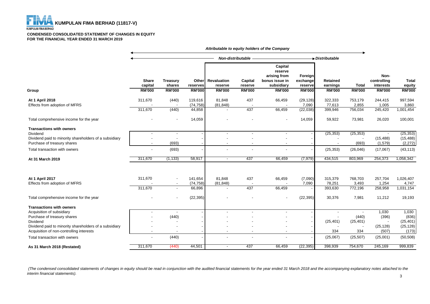FH **KUMPULAN FIMA BERHAD (11817-V) KUMPULAN FIMA BERHAD** 

#### **CONDENSED CONSOLIDATED STATEMENT OF CHANGES IN EQUITY FOR THE FINANCIAL YEAR ENDED 31 MARCH 2019**

|                                                        | Attributable to equity holders of the Company |                                            |                                    |                                                |                                     |                                                                                     |                                                 |                                       |                               |                                                   |                                         |
|--------------------------------------------------------|-----------------------------------------------|--------------------------------------------|------------------------------------|------------------------------------------------|-------------------------------------|-------------------------------------------------------------------------------------|-------------------------------------------------|---------------------------------------|-------------------------------|---------------------------------------------------|-----------------------------------------|
|                                                        |                                               |                                            |                                    | Non-distributable                              |                                     |                                                                                     | Distributable                                   |                                       |                               |                                                   |                                         |
| Group                                                  | <b>Share</b><br>capital<br><b>RM'000</b>      | <b>Treasury</b><br>shares<br><b>RM'000</b> | Other<br>reserves<br><b>RM'000</b> | <b>Revaluation</b><br>reserve<br><b>RM'000</b> | Capital<br>reserve<br><b>RM'000</b> | Capital<br>reserve<br>arising from<br>bonus issue in<br>subsidiary<br><b>RM'000</b> | Foreign<br>exchange<br>reserve<br><b>RM'000</b> | Retained<br>earnings<br><b>RM'000</b> | <b>Total</b><br><b>RM'000</b> | Non-<br>controlling<br>interests<br><b>RM'000</b> | <b>Total</b><br>equity<br><b>RM'000</b> |
| At 1 April 2018                                        | 311,670                                       | (440)                                      | 119,616                            | 81,848                                         | 437                                 | 66,459                                                                              | (29, 128)                                       | 322,333                               | 753,179                       | 244,415                                           | 997,594                                 |
| Effects from adoption of MFRS                          |                                               |                                            | (74, 758)                          | (81, 848)                                      |                                     |                                                                                     | 7,090                                           | 77,613                                | 2,855                         | 1,005                                             | 3,860                                   |
|                                                        | 311,670                                       | (440)                                      | 44,858                             |                                                | 437                                 | 66,459                                                                              | (22, 038)                                       | 399,946                               | 756,034                       | 245,420                                           | 1,001,454                               |
| Total comprehensive income for the year                |                                               |                                            | 14,059                             |                                                |                                     |                                                                                     | 14,059                                          | 59,922                                | 73,981                        | 26,020                                            | 100,001                                 |
| <b>Transactions with owners</b>                        |                                               |                                            |                                    |                                                |                                     |                                                                                     |                                                 |                                       |                               |                                                   |                                         |
| Dividend                                               |                                               | $\overline{\phantom{a}}$                   |                                    | $\blacksquare$                                 |                                     | $\overline{\phantom{a}}$                                                            |                                                 | (25, 353)                             | (25, 353)                     |                                                   | (25, 353)                               |
| Dividend paid to minority shareholders of a subsidiary |                                               |                                            |                                    |                                                |                                     |                                                                                     |                                                 |                                       |                               | (15, 488)                                         | (15, 488)                               |
| Purchase of treasury shares                            | $\overline{\phantom{a}}$                      | (693)                                      |                                    | $\overline{\phantom{a}}$                       |                                     | $\overline{\phantom{a}}$                                                            |                                                 | $\overline{\phantom{a}}$              | (693)                         | (1, 579)                                          | (2, 272)                                |
| Total transaction with owners                          |                                               | (693)                                      |                                    |                                                |                                     |                                                                                     |                                                 | (25, 353)                             | (26, 046)                     | (17,067)                                          | (43, 113)                               |
| At 31 March 2019                                       | 311,670                                       | (1, 133)                                   | 58,917                             | $\overline{\phantom{a}}$                       | 437                                 | 66,459                                                                              | (7, 979)                                        | 434,515                               | 803,969                       | 254,373                                           | 1,058,342                               |
| At 1 April 2017                                        | 311,670                                       |                                            | 141,654                            | 81,848                                         | 437                                 | 66,459                                                                              | (7,090)                                         | 315,379                               | 768,703                       | 257,704                                           | 1,026,407                               |
| Effects from adoption of MFRS                          |                                               | $\blacksquare$                             | (74, 758)                          | (81, 848)                                      |                                     |                                                                                     | 7,090                                           | 78,251                                | 3,493                         | 1,254                                             | 4,747                                   |
|                                                        | 311,670                                       | $\overline{\phantom{a}}$                   | 66,896                             | $\overline{a}$                                 | 437                                 | 66,459                                                                              |                                                 | 393,630                               | 772,196                       | 258,958                                           | 1,031,154                               |
| Total comprehensive income for the year                |                                               |                                            | (22, 395)                          |                                                |                                     |                                                                                     | (22, 395)                                       | 30,376                                | 7,981                         | 11,212                                            | 19,193                                  |
| <b>Transactions with owners</b>                        |                                               |                                            |                                    |                                                |                                     |                                                                                     |                                                 |                                       |                               |                                                   |                                         |
| Acquisition of subsidiary                              |                                               |                                            |                                    |                                                |                                     |                                                                                     |                                                 |                                       |                               | 1,030                                             | 1,030                                   |
| Purchase of treasury shares                            |                                               | (440)                                      |                                    |                                                |                                     |                                                                                     |                                                 |                                       | (440)                         | (396)                                             | (836)                                   |
| Dividend                                               |                                               |                                            |                                    |                                                |                                     |                                                                                     |                                                 | (25, 401)                             | (25, 401)                     | $\overline{\phantom{a}}$                          | (25, 401)                               |
| Dividend paid to minority shareholders of a subsidiary |                                               |                                            |                                    |                                                |                                     |                                                                                     |                                                 |                                       |                               | (25, 128)                                         | (25, 128)                               |
| Acquisition of non-controlling interests               | $\overline{\phantom{a}}$                      |                                            |                                    | $\overline{\phantom{a}}$                       |                                     | $\overline{\phantom{a}}$                                                            |                                                 | 334                                   | 334                           | (507)                                             | (173)                                   |
| Total transaction with owners                          | $\blacksquare$                                | (440)                                      |                                    | $\overline{\phantom{a}}$                       |                                     |                                                                                     |                                                 | (25,067)                              | (25, 507)                     | (25,001)                                          | (50, 508)                               |
| As 31 March 2018 (Restated)                            | 311,670                                       | (440)                                      | 44,501                             | $\sim$                                         | 437                                 | 66,459                                                                              | (22, 395)                                       | 398,939                               | 754,670                       | 245,169                                           | 999,839                                 |

 *(The condensed consolidated statements of changes in equity should be read in conjunction with the audited financial statements for the year ended 31 March 2018 and the accompanying explanatory notes attached to the interim financial statements).*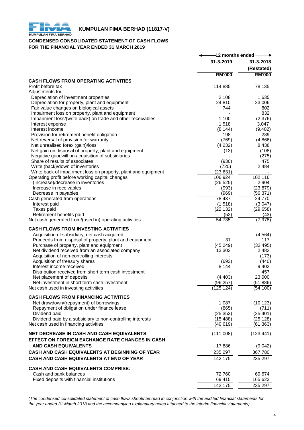

# **THE RUMPULAN FIMA BERHAD (11817-V)**<br>KUMPULAN FIMA BERHAD

## **CONDENSED CONSOLIDATED STATEMENT OF CASH FLOWS FOR THE FINANCIAL YEAR ENDED 31 MARCH 2019**

|                                                                                               | -12 months ended |                         |
|-----------------------------------------------------------------------------------------------|------------------|-------------------------|
|                                                                                               | 31-3-2019        | 31-3-2018<br>(Restated) |
|                                                                                               | <b>RM'000</b>    | <b>RM'000</b>           |
| <b>CASH FLOWS FROM OPERATING ACTIVITIES</b>                                                   |                  |                         |
| Profit before tax                                                                             | 114,885          | 78,135                  |
| Adjustments for:                                                                              |                  |                         |
| Depreciation of investment properties                                                         | 2,108            | 1,635                   |
| Depreciation for property, plant and equipment<br>Fair value changes on biological assets     | 24,810<br>744    | 23,006<br>802           |
| Impairment loss on property, plant and equipment                                              |                  | 832                     |
| Impairment loss/(write back) on trade and other receivables                                   | 1,100            | (2,376)                 |
| Interest expense                                                                              | 1,518            | 3,047                   |
| Interest income                                                                               | (8, 144)         | (9,402)                 |
| Provision for retirement benefit obligation                                                   | 198              | 289                     |
| Net reversal of provision for warranty                                                        | (769)            | (4,866)                 |
| Net unrealised forex (gain)/loss                                                              | (4,232)          | 8,438                   |
| Net gain on disposal of property, plant and equipment                                         | (13)             | (108)                   |
| Negative goodwill on acquisition of subsidiaries                                              |                  | (275)                   |
| Share of results of associates                                                                | (930)            | 475                     |
| Write (back)/down of inventories                                                              | (720)            | 2,484                   |
| Write back of impairment loss on property, plant and equipment                                | (23, 631)        |                         |
| Operating profit before working capital changes                                               | 106,924          | 102,116                 |
| (Increase)/decrease in inventories                                                            | (26, 525)        | 2,904                   |
| Increase in receivables<br>Decrease in payables                                               | (993)<br>(969)   | (23, 879)               |
| Cash generated from operations                                                                | 78,437           | (56,371)<br>24,770      |
| Interest paid                                                                                 | (1,518)          | (3,047)                 |
| Taxes paid                                                                                    | (22, 132)        | (29, 658)               |
| Retirement benefits paid                                                                      | (52)             | (43)                    |
| Net cash generated from/(used in) operating activities                                        | 54,735           | (7, 978)                |
|                                                                                               |                  |                         |
| <b>CASH FLOWS FROM INVESTING ACTIVITIES</b>                                                   |                  |                         |
| Acquisition of subsidiary, net cash acquired                                                  |                  | (4, 564)                |
| Proceeds from disposal of property, plant and equipment                                       | 31<br>(45, 249)  | 117                     |
| Purchase of property, plant and equipment<br>Net dividend received from an associated company | 13,303           | (32, 495)<br>2,482      |
| Acquisition of non-controlling interests                                                      |                  | (173)                   |
| Acquisition of treasury shares                                                                | (693)            | (440)                   |
| Interest income received                                                                      | 8,144            | 9,402                   |
| Distribution received from short term cash investment                                         |                  | 457                     |
| Net placement of deposits                                                                     | (4, 403)         | 23,000                  |
| Net investment in short term cash investment                                                  | (96, 257)        | (51, 886)               |
| Net cash used in investing activities                                                         | (125,124)        | (54,100)                |
| <b>CASH FLOWS FROM FINANCING ACTIVITIES</b>                                                   |                  |                         |
|                                                                                               | 1,087            |                         |
| Net drawdown/(repayment) of borrowings<br>Repayment of obligation under finance lease         | (865)            | (10, 123)<br>(711)      |
| Dividend paid                                                                                 | (25, 353)        | (25, 401)               |
| Dividend paid by a subsidiary to non-controlling interests                                    | (15, 488)        | (25, 128)               |
| Net cash used in financing activities                                                         | (40, 619)        | (61, 363)               |
|                                                                                               |                  |                         |
| <b>NET DECREASE IN CASH AND CASH EQUIVALENTS</b>                                              | (111,008)        | (123, 441)              |
| EFFECT ON FOREIGN EXCHANGE RATE CHANGES IN CASH                                               |                  |                         |
| <b>AND CASH EQUIVALENTS</b>                                                                   | 17,886           | (9,042)                 |
| CASH AND CASH EQUIVALENTS AT BEGINNING OF YEAR                                                | 235,297          | 367,780                 |
| CASH AND CASH EQUIVALENTS AT END OF YEAR                                                      | 142,175          | 235,297                 |
|                                                                                               |                  |                         |
| <b>CASH AND CASH EQUIVALENTS COMPRISE:</b>                                                    |                  |                         |
| Cash and bank balances                                                                        | 72,760           | 69,674                  |
| Fixed deposits with financial institutions                                                    | 69,415           | 165,623                 |
|                                                                                               | 142,175          | 235,297                 |

*(The condensed consolidated statement of cash flows should be read in conjunction with the audited financial statements for the year ended 31 March 2018 and the accompanying explanatory notes attached to the interim financial statements).*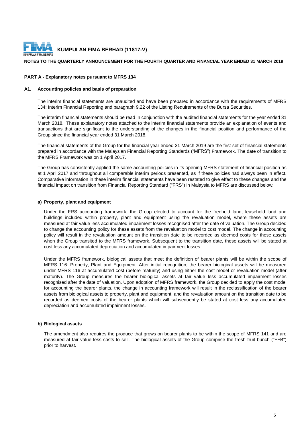

## **NOTES TO THE QUARTERLY ANNOUNCEMENT FOR THE FOURTH QUARTER AND FINANCIAL YEAR ENDED 31 MARCH 2019**

#### **PART A - Explanatory notes pursuant to MFRS 134**

## **A1. Accounting policies and basis of preparation**

The interim financial statements are unaudited and have been prepared in accordance with the requirements of MFRS 134: Interim Financial Reporting and paragraph 9.22 of the Listing Requirements of the Bursa Securities.

The interim financial statements should be read in conjunction with the audited financial statements for the year ended 31 March 2018. These explanatory notes attached to the interim financial statements provide an explanation of events and transactions that are significant to the understanding of the changes in the financial position and performance of the Group since the financial year ended 31 March 2018.

The financial statements of the Group for the financial year ended 31 March 2019 are the first set of financial statements prepared in accordance with the Malaysian Financial Reporting Standards ("MFRS") Framework. The date of transition to the MFRS Framework was on 1 April 2017.

The Group has consistently applied the same accounting policies in its opening MFRS statement of financial position as at 1 April 2017 and throughout all comparable interim periods presented, as if these policies had always been in effect. Comparative information in these interim financial statements have been restated to give effect to these changes and the financial impact on transition from Financial Reporting Standard ("FRS") in Malaysia to MFRS are discussed below:

## **a) Property, plant and equipment**

Under the FRS accounting framework, the Group elected to account for the freehold land, leasehold land and buildings included within property, plant and equipment using the revaluation model, where these assets are measured at fair value less accumulated impairment losses recognised after the date of valuation. The Group decided to change the accounting policy for these assets from the revaluation model to cost model. The change in accounting policy will result in the revaluation amount on the transition date to be recorded as deemed costs for these assets when the Group transited to the MFRS framework. Subsequent to the transition date, these assets will be stated at cost less any accumulated depreciation and accumulated impairment losses.

Under the MFRS framework, biological assets that meet the definition of bearer plants will be within the scope of MFRS 116: Property, Plant and Equipment. After initial recognition, the bearer biological assets will be measured under MFRS 116 at accumulated cost (before maturity) and using either the cost model or revaluation model (after maturity). The Group measures the bearer biological assets at fair value less accumulated impairment losses recognised after the date of valuation. Upon adoption of MFRS framework, the Group decided to apply the cost model for accounting the bearer plants, the change in accounting framework will result in the reclassification of the bearer assets from biological assets to property, plant and equipment, and the revaluation amount on the transition date to be recorded as deemed costs of the bearer plants which will subsequently be stated at cost less any accumulated depreciation and accumulated impairment losses.

#### **b) Biological assets**

The amendment also requires the produce that grows on bearer plants to be within the scope of MFRS 141 and are measured at fair value less costs to sell. The biological assets of the Group comprise the fresh fruit bunch ("FFB") prior to harvest.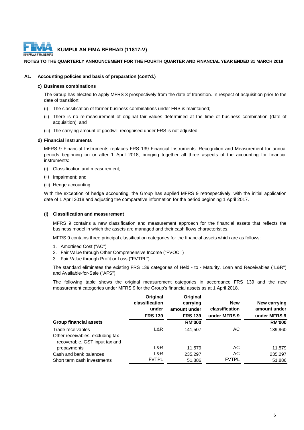

## **NOTES TO THE QUARTERLY ANNOUNCEMENT FOR THE FOURTH QUARTER AND FINANCIAL YEAR ENDED 31 MARCH 2019**

## **A1. Accounting policies and basis of preparation (cont'd.)**

## **c) Business combinations**

The Group has elected to apply MFRS 3 prospectively from the date of transition. In respect of acquisition prior to the date of transition:

- (i) The classification of former business combinations under FRS is maintained;
- (ii) There is no re-measurement of original fair values determined at the time of business combination (date of acquisition); and
- (iii) The carrying amount of goodwill recognised under FRS is not adjusted.

## **d) Financial instruments**

MFRS 9 Financial Instruments replaces FRS 139 Financial Instruments: Recognition and Measurement for annual periods beginning on or after 1 April 2018, bringing together all three aspects of the accounting for financial instruments:

- (i) Classification and measurement;
- (ii) Impairment; and
- (iii) Hedge accounting.

With the exception of hedge accounting, the Group has applied MFRS 9 retrospectively, with the initial application date of 1 April 2018 and adjusting the comparative information for the period beginning 1 April 2017.

#### **(i) Classification and measurement**

MFRS 9 contains a new classification and measurement approach for the financial assets that reflects the business model in which the assets are managed and their cash flows characteristics.

MFRS 9 contains three principal classification categories for the financial assets which are as follows:

- 1. Amortised Cost ("AC")
- 2. Fair Value through Other Comprehensive Income ("FVOCI")
- 3. Fair Value through Profit or Loss ("FVTPL")

The standard eliminates the existing FRS 139 categories of Held - to - Maturity, Loan and Receivables ("L&R") and Available-for-Sale ("AFS").

The following table shows the original measurement categories in accordance FRS 139 and the new measurement categories under MFRS 9 for the Group's financial assets as at 1 April 2018.

|                                                                    | Original<br>classification<br>under<br><b>FRS 139</b> | Original<br>carrying<br>amount under<br><b>FRS 139</b> | <b>New</b><br>classification<br>under MFRS 9 | New carrying<br>amount under<br>under MFRS 9 |
|--------------------------------------------------------------------|-------------------------------------------------------|--------------------------------------------------------|----------------------------------------------|----------------------------------------------|
| <b>Group financial assets</b>                                      |                                                       | <b>RM'000</b>                                          |                                              | <b>RM'000</b>                                |
| Trade receivables                                                  | L&R                                                   | 141.507                                                | АC                                           | 139,960                                      |
| Other receivables, excluding tax<br>recoverable, GST input tax and |                                                       |                                                        |                                              |                                              |
| prepayments                                                        | L&R                                                   | 11.579                                                 | AC                                           | 11,579                                       |
| Cash and bank balances                                             | L&R                                                   | 235,297                                                | AC.                                          | 235,297                                      |
| Short term cash investments                                        | <b>FVTPL</b>                                          | 51,886                                                 | <b>FVTPL</b>                                 | 51,886                                       |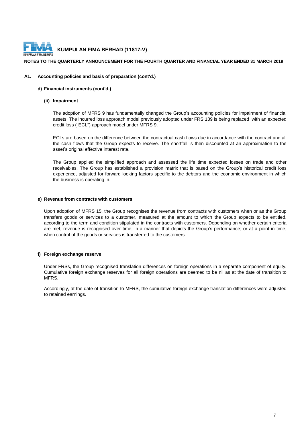

## **NOTES TO THE QUARTERLY ANNOUNCEMENT FOR THE FOURTH QUARTER AND FINANCIAL YEAR ENDED 31 MARCH 2019**

## **A1. Accounting policies and basis of preparation (cont'd.)**

## **d) Financial instruments (cont'd.)**

#### **(ii) Impairment**

The adoption of MFRS 9 has fundamentally changed the Group's accounting policies for impairment of financial assets. The incurred loss approach model previously adopted under FRS 139 is being replaced with an expected credit loss ("ECL") approach model under MFRS 9.

ECLs are based on the difference between the contractual cash flows due in accordance with the contract and all the cash flows that the Group expects to receive. The shortfall is then discounted at an approximation to the asset's original effective interest rate.

The Group applied the simplified approach and assessed the life time expected losses on trade and other receivables. The Group has established a provision matrix that is based on the Group's historical credit loss experience, adjusted for forward looking factors specific to the debtors and the economic environment in which the business is operating in.

## **e) Revenue from contracts with customers**

Upon adoption of MFRS 15, the Group recognises the revenue from contracts with customers when or as the Group transfers goods or services to a customer, measured at the amount to which the Group expects to be entitled, according to the term and condition stipulated in the contracts with customers. Depending on whether certain criteria are met, revenue is recognised over time, in a manner that depicts the Group's performance; or at a point in time, when control of the goods or services is transferred to the customers.

## **f) Foreign exchange reserve**

Under FRSs, the Group recognised translation differences on foreign operations in a separate component of equity. Cumulative foreign exchange reserves for all foreign operations are deemed to be nil as at the date of transition to MFRS.

Accordingly, at the date of transition to MFRS, the cumulative foreign exchange translation differences were adjusted to retained earnings.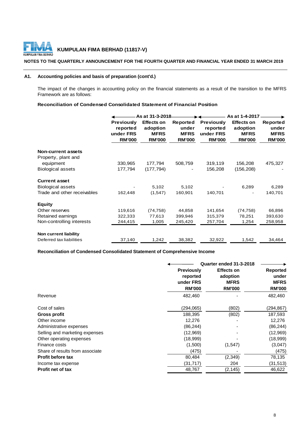

## **NOTES TO THE QUARTERLY ANNOUNCEMENT FOR THE FOURTH QUARTER AND FINANCIAL YEAR ENDED 31 MARCH 2019**

## **A1. Accounting policies and basis of preparation (cont'd.)**

The impact of the changes in accounting policy on the financial statements as a result of the transition to the MFRS Framework are as follows:

## **Reconciliation of Condensed Consolidated Statement of Financial Position**

|                              |                                                             | As at 31-3-2018                                               |                                                   |                                                             | As at 1-4-2017                                                |                                                   |
|------------------------------|-------------------------------------------------------------|---------------------------------------------------------------|---------------------------------------------------|-------------------------------------------------------------|---------------------------------------------------------------|---------------------------------------------------|
|                              | <b>Previously</b><br>reported<br>under FRS<br><b>RM'000</b> | <b>Effects on</b><br>adoption<br><b>MFRS</b><br><b>RM'000</b> | Reported<br>under<br><b>MFRS</b><br><b>RM'000</b> | <b>Previously</b><br>reported<br>under FRS<br><b>RM'000</b> | <b>Effects on</b><br>adoption<br><b>MFRS</b><br><b>RM'000</b> | Reported<br>under<br><b>MFRS</b><br><b>RM'000</b> |
| <b>Non-current assets</b>    |                                                             |                                                               |                                                   |                                                             |                                                               |                                                   |
| Property, plant and          |                                                             |                                                               |                                                   |                                                             |                                                               |                                                   |
| equipment                    | 330,965                                                     | 177,794                                                       | 508,759                                           | 319,119                                                     | 156,208                                                       | 475,327                                           |
| <b>Biological assets</b>     | 177,794                                                     | (177, 794)                                                    |                                                   | 156,208                                                     | (156, 208)                                                    |                                                   |
| <b>Current asset</b>         |                                                             |                                                               |                                                   |                                                             |                                                               |                                                   |
| <b>Biological assets</b>     |                                                             | 5,102                                                         | 5,102                                             |                                                             | 6,289                                                         | 6,289                                             |
| Trade and other receivables  | 162,448                                                     | (1,547)                                                       | 160,901                                           | 140,701                                                     |                                                               | 140,701                                           |
| Equity                       |                                                             |                                                               |                                                   |                                                             |                                                               |                                                   |
| Other reserves               | 119,616                                                     | (74, 758)                                                     | 44,858                                            | 141,654                                                     | (74, 758)                                                     | 66,896                                            |
| Retained earnings            | 322,333                                                     | 77,613                                                        | 399,946                                           | 315,379                                                     | 78,251                                                        | 393,630                                           |
| Non-controlling interests    | 244,415                                                     | 1,005                                                         | 245,420                                           | 257,704                                                     | 1,254                                                         | 258,958                                           |
| <b>Non current liability</b> |                                                             |                                                               |                                                   |                                                             |                                                               |                                                   |
| Deferred tax liabilities     | 37,140                                                      | 1,242                                                         | 38,382                                            | 32,922                                                      | 1,542                                                         | 34,464                                            |

## **Reconciliation of Condensed Consolidated Statement of Comprehensive Income**

| Quarter ended 31-3-2018                    |                                              |                                                   |
|--------------------------------------------|----------------------------------------------|---------------------------------------------------|
| <b>Previously</b><br>reported<br>under FRS | <b>Effects on</b><br>adoption<br><b>MFRS</b> | Reported<br>under<br><b>MFRS</b><br><b>RM'000</b> |
| 482,460                                    |                                              | 482,460                                           |
| (294,065)                                  | (802)                                        | (294,867)                                         |
| 188,395                                    | (802)                                        | 187,593                                           |
| 12,276                                     |                                              | 12,276                                            |
| (86, 244)                                  |                                              | (86, 244)                                         |
| (12,969)                                   |                                              | (12,969)                                          |
| (18,999)                                   |                                              | (18,999)                                          |
| (1,500)                                    | (1,547)                                      | (3,047)                                           |
| (475)                                      |                                              | (475)                                             |
| 80,484                                     | (2, 349)                                     | 78,135                                            |
| (31, 717)                                  | 204                                          | (31, 513)                                         |
| 48,767                                     | (2, 145)                                     | 46,622                                            |
|                                            | <b>RM'000</b>                                | <b>RM'000</b>                                     |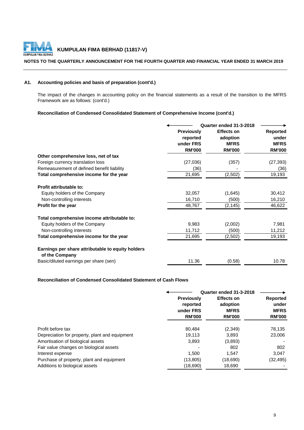

## **NOTES TO THE QUARTERLY ANNOUNCEMENT FOR THE FOURTH QUARTER AND FINANCIAL YEAR ENDED 31 MARCH 2019**

## **A1. Accounting policies and basis of preparation (cont'd.)**

The impact of the changes in accounting policy on the financial statements as a result of the transition to the MFRS Framework are as follows: (cont'd.)

## **Reconciliation of Condensed Consolidated Statement of Comprehensive Income (cont'd.)**

|                                                                     | Quarter ended 31-3-2018 |                   |                 |
|---------------------------------------------------------------------|-------------------------|-------------------|-----------------|
|                                                                     | <b>Previously</b>       | <b>Effects on</b> | <b>Reported</b> |
|                                                                     | reported                | adoption          | under           |
|                                                                     | under FRS               | <b>MFRS</b>       | <b>MFRS</b>     |
|                                                                     | <b>RM'000</b>           | <b>RM'000</b>     | <b>RM'000</b>   |
| Other comprehensive loss, net of tax                                |                         |                   |                 |
| Foreign currency translation loss                                   | (27,036)                | (357)             | (27, 393)       |
| Remeasurement of defined benefit liability                          | (36)                    |                   | (36)            |
| Total comprehensive income for the year                             | 21,695                  | (2,502)           | 19,193          |
| Profit attributable to:                                             |                         |                   |                 |
| Equity holders of the Company                                       | 32,057                  | (1,645)           | 30,412          |
| Non-controlling interests                                           | 16,710                  | (500)             | 16,210          |
| Profit for the year                                                 | 48,767                  | (2, 145)          | 46,622          |
| Total comprehensive income attributable to:                         |                         |                   |                 |
| Equity holders of the Company                                       | 9,983                   | (2,002)           | 7,981           |
| Non-controlling interests                                           | 11,712                  | (500)             | 11,212          |
| Total comprehensive income for the year                             | 21,695                  | (2,502)           | 19,193          |
| Earnings per share attributable to equity holders<br>of the Company |                         |                   |                 |
| Basic/diluted earnings per share (sen)                              | 11.36                   | (0.58)            | 10.78           |

## **Reconciliation of Condensed Consolidated Statement of Cash Flows**

|                                                | Quarter ended 31-3-2018 |                   |               |
|------------------------------------------------|-------------------------|-------------------|---------------|
|                                                | <b>Previously</b>       | <b>Effects on</b> | Reported      |
|                                                | reported                | adoption          | under         |
|                                                | under FRS               | <b>MFRS</b>       | <b>MFRS</b>   |
|                                                | <b>RM'000</b>           | <b>RM'000</b>     | <b>RM'000</b> |
| Profit before tax                              | 80,484                  | (2,349)           | 78,135        |
| Depreciation for property, plant and equipment | 19.113                  | 3.893             | 23,006        |
| Amortisation of biological assets              | 3,893                   | (3,893)           |               |
| Fair value changes on biological assets        |                         | 802               | 802           |
| Interest expense                               | 1.500                   | 1.547             | 3,047         |
| Purchase of property, plant and equipment      | (13,805)                | (18,690)          | (32, 495)     |
| Additions to biological assets                 | (18, 690)               | 18,690            |               |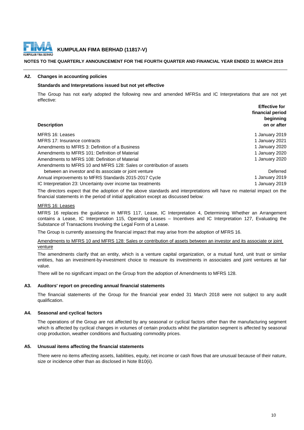

## **NOTES TO THE QUARTERLY ANNOUNCEMENT FOR THE FOURTH QUARTER AND FINANCIAL YEAR ENDED 31 MARCH 2019**

## **A2. Changes in accounting policies**

## **Standards and Interpretations issued but not yet effective**

**Effective for**  The Group has not early adopted the following new and amended MFRSs and IC Interpretations that are not yet effective:

| <b>Description</b>                                                  | <b>ETTECTIVE TOP</b><br>financial period<br>beginning<br>on or after |
|---------------------------------------------------------------------|----------------------------------------------------------------------|
| MFRS 16: Leases                                                     | 1 January 2019                                                       |
| MFRS 17: Insurance contracts                                        | 1 January 2021                                                       |
| Amendments to MFRS 3: Definition of a Business                      | 1 January 2020                                                       |
| Amendments to MFRS 101: Definition of Material                      | 1 January 2020                                                       |
| Amendments to MFRS 108: Definition of Material                      | 1 January 2020                                                       |
| Amendments to MFRS 10 and MFRS 128: Sales or contribution of assets |                                                                      |
| between an investor and its associate or joint venture              | Deferred                                                             |
| Annual improvements to MFRS Standards 2015-2017 Cycle               | 1 January 2019                                                       |
| IC Interpretation 23: Uncertainty over income tax treatments        | 1 January 2019                                                       |
|                                                                     |                                                                      |

The directors expect that the adoption of the above standards and interpretations will have no material impact on the financial statements in the period of initial application except as discussed below:

## MFRS 16: Leases

MFRS 16 replaces the guidance in MFRS 117, Lease, IC Interpretation 4, Determining Whether an Arrangement contains a Lease, IC Interpretation 115, Operating Leases – Incentives and IC Interpretation 127, Evaluating the Substance of Transactions Involving the Legal Form of a Lease.

The Group is currently assessing the financial impact that may arise from the adoption of MFRS 16.

Amendments to MFRS 10 and MFRS 128: Sales or contribution of assets between an investor and its associate or joint venture

The amendments clarify that an entity, which is a venture capital organization, or a mutual fund, unit trust or similar entities, has an investment-by-investment choice to measure its investments in associates and joint ventures at fair value.

There will be no significant impact on the Group from the adoption of Amendments to MFRS 128.

#### **A3. Auditors' report on preceding annual financial statements**

The financial statements of the Group for the financial year ended 31 March 2018 were not subject to any audit qualification.

#### **A4. Seasonal and cyclical factors**

The operations of the Group are not affected by any seasonal or cyclical factors other than the manufacturing segment which is affected by cyclical changes in volumes of certain products whilst the plantation segment is affected by seasonal crop production, weather conditions and fluctuating commodity prices.

#### **A5. Unusual items affecting the financial statements**

There were no items affecting assets, liabilities, equity, net income or cash flows that are unusual because of their nature, size or incidence other than as disclosed in Note B10(ii).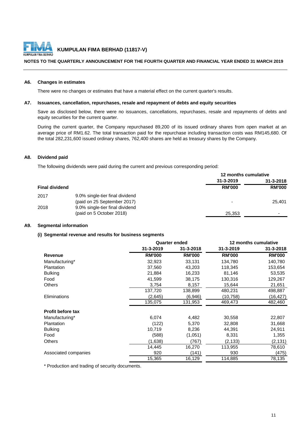

## **NOTES TO THE QUARTERLY ANNOUNCEMENT FOR THE FOURTH QUARTER AND FINANCIAL YEAR ENDED 31 MARCH 2019**

## **A6. Changes in estimates**

There were no changes or estimates that have a material effect on the current quarter's results.

## **A7. Issuances, cancellation, repurchases, resale and repayment of debts and equity securities**

Save as disclosed below, there were no issuances, cancellations, repurchases, resale and repayments of debts and equity securities for the current quarter.

During the current quarter, the Company repurchased 89,200 of its issued ordinary shares from open market at an average price of RM1.62. The total transaction paid for the repurchase including transaction costs was RM145,680. Of the total 282,231,600 issued ordinary shares, 762,400 shares are held as treasury shares by the Company.

## **A8. Dividend paid**

The following dividends were paid during the current and previous corresponding period:

|                       |                                 | 12 months cumulative     |               |  |
|-----------------------|---------------------------------|--------------------------|---------------|--|
|                       |                                 | 31-3-2019                | 31-3-2018     |  |
| <b>Final dividend</b> |                                 | <b>RM'000</b>            | <b>RM'000</b> |  |
| 2017                  | 9.0% single-tier final dividend |                          |               |  |
|                       | (paid on 25 September 2017)     | $\overline{\phantom{0}}$ | 25.401        |  |
| 2018                  | 9.0% single-tier final dividend |                          |               |  |
|                       | (paid on 5 October 2018)        | 25,353                   | -             |  |

## **A9. Segmental information**

## **(i) Segmental revenue and results for business segments**

|                          |               | <b>Quarter ended</b> |               | 12 months cumulative |
|--------------------------|---------------|----------------------|---------------|----------------------|
|                          | 31-3-2019     | 31-3-2018            | 31-3-2019     | 31-3-2018            |
| <b>Revenue</b>           | <b>RM'000</b> | <b>RM'000</b>        | <b>RM'000</b> | <b>RM'000</b>        |
| Manufacturing*           | 32,923        | 33,131               | 134,780       | 140,780              |
| Plantation               | 37,560        | 43,203               | 118,345       | 153,654              |
| <b>Bulking</b>           | 21,884        | 16,233               | 81,146        | 53,535               |
| Food                     | 41,599        | 38,175               | 130,316       | 129,267              |
| <b>Others</b>            | 3,754         | 8,157                | 15,644        | 21,651               |
|                          | 137,720       | 138,899              | 480,231       | 498,887              |
| Eliminations             | (2,645)       | (6,946)              | (10,758)      | (16,427)             |
|                          | 135,075       | 131,953              | 469,473       | 482,460              |
| <b>Profit before tax</b> |               |                      |               |                      |
| Manufacturing*           | 6,074         | 4,482                | 30,558        | 22,807               |
| Plantation               | (122)         | 5,370                | 32,808        | 31,668               |
| <b>Bulking</b>           | 10,719        | 8,236                | 44,391        | 24,911               |
| Food                     | (588)         | (1,051)              | 8,331         | 1,355                |
| <b>Others</b>            | (1,638)       | (767)                | (2, 133)      | (2, 131)             |
|                          | 14,445        | 16,270               | 113,955       | 78,610               |
| Associated companies     | 920           | (141)                | 930           | (475)                |
|                          | 15,365        | 16,129               | 114,885       | 78,135               |

\* Production and trading of security documents.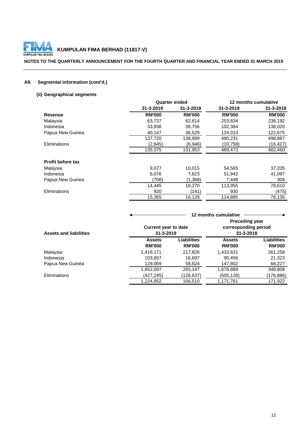

## **NOTES TO THE QUARTERLY ANNOUNCEMENT FOR THE FOURTH QUARTER AND FINANCIAL YEAR ENDED 31 MARCH 2019**

## **A9. Segmental information (cont'd.)**

## **(ii) Geographical segments**

|                          | <b>Quarter ended</b> |                 | 12 months cumulative |                 |
|--------------------------|----------------------|-----------------|----------------------|-----------------|
|                          | 31-3-2019            | $31 - 3 - 2018$ | 31-3-2019            | $31 - 3 - 2018$ |
| Revenue                  | <b>RM'000</b>        | <b>RM'000</b>   | <b>RM'000</b>        | <b>RM'000</b>   |
| Malaysia                 | 63,737               | 62,614          | 253,834              | 238,192         |
| Indonesia                | 33,836               | 39,756          | 102,384              | 138,020         |
| Papua New Guinea         | 40,147               | 36,529          | 124.013              | 122,675         |
|                          | 137,720              | 138,899         | 480,231              | 498,887         |
| Eliminations             | (2,645)              | (6,946)         | (10, 758)            | (16, 427)       |
|                          | 135,075              | 131,953         | 469,473              | 482,460         |
| <b>Profit before tax</b> |                      |                 |                      |                 |
| Malaysia                 | 9,077                | 10,015          | 54,565               | 37,205          |
| Indonesia                | 6,076                | 7,623           | 51,942               | 41,097          |
| Papua New Guinea         | (708)                | (1,368)         | 7,448                | 308             |
|                          | 14.445               | 16,270          | 113,955              | 78,610          |
| Eliminations             | 920                  | (141)           | 930                  | (475)           |
|                          | 15,365               | 16,129          | 114,885              | 78.135          |

|                               |                                          | 12 months cumulative |                                         |               |  |
|-------------------------------|------------------------------------------|----------------------|-----------------------------------------|---------------|--|
|                               |                                          |                      | <b>Preceding year</b>                   |               |  |
| <b>Assets and liabilities</b> | <b>Current year to date</b><br>31-3-2019 |                      | corresponding period<br>$31 - 3 - 2018$ |               |  |
|                               |                                          |                      |                                         |               |  |
|                               | <b>Assets</b>                            | Liabilities          | <b>Assets</b>                           | Liabilities   |  |
|                               | <b>RM'000</b>                            | <b>RM'000</b>        | <b>RM'000</b>                           | <b>RM'000</b> |  |
| Malaysia                      | 1,419,171                                | 217,826              | 1,433,631                               | 261,258       |  |
| Indonesia                     | 103,857                                  | 16,697               | 95,456                                  | 21,323        |  |
| Papua New Guinea              | 129,069                                  | 58,624               | 147,802                                 | 66,227        |  |
|                               | 1,652,097                                | 293,147              | 1,676,889                               | 348,808       |  |
| Eliminations                  | (427,245)                                | (126,637             | (505, 128)                              | (176,886)     |  |
|                               | 1,224,852                                | 166,510              | 1,171,761                               | 171,922       |  |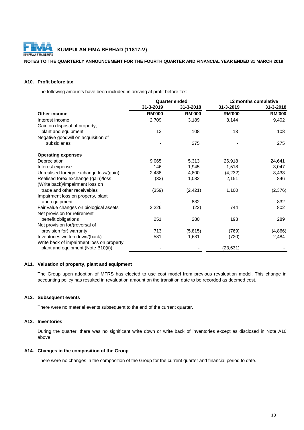

## **NOTES TO THE QUARTERLY ANNOUNCEMENT FOR THE FOURTH QUARTER AND FINANCIAL YEAR ENDED 31 MARCH 2019**

## **A10. Profit before tax**

The following amounts have been included in arriving at profit before tax:

|                                            | <b>Quarter ended</b> |               | 12 months cumulative |               |
|--------------------------------------------|----------------------|---------------|----------------------|---------------|
|                                            | 31-3-2019            | 31-3-2018     | 31-3-2019            | 31-3-2018     |
| Other income                               | <b>RM'000</b>        | <b>RM'000</b> | <b>RM'000</b>        | <b>RM'000</b> |
| Interest income                            | 2,709                | 3,189         | 8,144                | 9,402         |
| Gain on disposal of property,              |                      |               |                      |               |
| plant and equipment                        | 13                   | 108           | 13                   | 108           |
| Negative goodwill on acquisition of        |                      |               |                      |               |
| subsidiaries                               |                      | 275           |                      | 275           |
| <b>Operating expenses</b>                  |                      |               |                      |               |
| Depreciation                               | 9,065                | 5,313         | 26,918               | 24,641        |
| Interest expense                           | 146                  | 1,945         | 1,518                | 3,047         |
| Unrealised foreign exchange loss/(gain)    | 2,438                | 4,800         | (4,232)              | 8,438         |
| Realised forex exchange (gain)/loss        | (33)                 | 1,082         | 2,151                | 846           |
| (Write back)/impairment loss on            |                      |               |                      |               |
| trade and other receivables                | (359)                | (2, 421)      | 1,100                | (2,376)       |
| Impairment loss on property, plant         |                      |               |                      |               |
| and equipment                              |                      | 832           |                      | 832           |
| Fair value changes on biological assets    | 2,226                | (22)          | 744                  | 802           |
| Net provision for retirement               |                      |               |                      |               |
| benefit obligations                        | 251                  | 280           | 198                  | 289           |
| Net provision for/(reversal of             |                      |               |                      |               |
| provision for) warranty                    | 713                  | (5, 815)      | (769)                | (4,866)       |
| Inventories written down/(back)            | 531                  | 1,631         | (720)                | 2,484         |
| Write back of impairment loss on property, |                      |               |                      |               |
| plant and equipment (Note B10(ii))         |                      |               | (23, 631)            |               |

## **A11. Valuation of property, plant and equipment**

The Group upon adoption of MFRS has elected to use cost model from previous revaluation model. This change in accounting policy has resulted in revaluation amount on the transition date to be recorded as deemed cost.

#### **A12. Subsequent events**

There were no material events subsequent to the end of the current quarter.

## **A13. Inventories**

During the quarter, there was no significant write down or write back of inventories except as disclosed in Note A10 above.

## **A14. Changes in the composition of the Group**

There were no changes in the composition of the Group for the current quarter and financial period to date.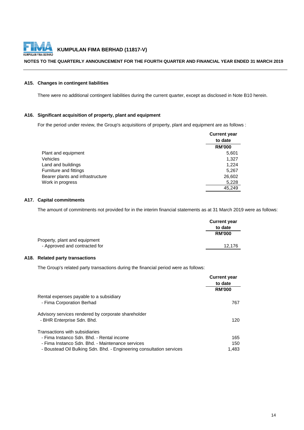

## **NOTES TO THE QUARTERLY ANNOUNCEMENT FOR THE FOURTH QUARTER AND FINANCIAL YEAR ENDED 31 MARCH 2019**

## **A15. Changes in contingent liabilities**

There were no additional contingent liabilities during the current quarter, except as disclosed in Note B10 herein.

## **A16. Significant acquisition of property, plant and equipment**

For the period under review, the Group's acquisitions of property, plant and equipment are as follows :

|                                  | <b>Current year</b> |
|----------------------------------|---------------------|
|                                  | to date             |
|                                  | <b>RM'000</b>       |
| Plant and equipment              | 5,601               |
| <b>Vehicles</b>                  | 1.327               |
| Land and buildings               | 1,224               |
| Furniture and fittings           | 5,267               |
| Bearer plants and infrastructure | 26,602              |
| Work in progress                 | 5,228               |
|                                  | 45.249              |

## **A17. Capital commitments**

The amount of commitments not provided for in the interim financial statements as at 31 March 2019 were as follows:

|                               | <b>Current year</b> |
|-------------------------------|---------------------|
|                               | to date             |
|                               | <b>RM'000</b>       |
| Property, plant and equipment |                     |
| - Approved and contracted for | 12.176              |

## **A18. Related party transactions**

The Group's related party transactions during the financial period were as follows:

|                                                                      | <b>Current year</b><br>to date |
|----------------------------------------------------------------------|--------------------------------|
|                                                                      | <b>RM'000</b>                  |
| Rental expenses payable to a subsidiary                              |                                |
| - Fima Corporation Berhad                                            | 767                            |
| Advisory services rendered by corporate shareholder                  |                                |
| - BHR Enterprise Sdn. Bhd.                                           | 120                            |
| Transactions with subsidiaries                                       |                                |
| - Fima Instanco Sdn. Bhd. - Rental income                            | 165                            |
| - Fima Instanco Sdn. Bhd. - Maintenance services                     | 150                            |
| - Boustead Oil Bulking Sdn. Bhd. - Engineering consultation services | 1.483                          |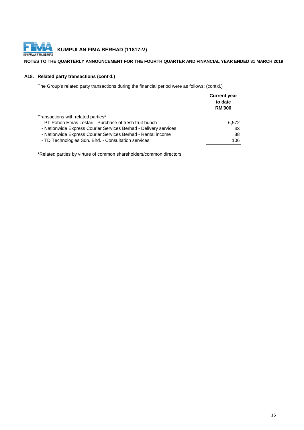

## **NOTES TO THE QUARTERLY ANNOUNCEMENT FOR THE FOURTH QUARTER AND FINANCIAL YEAR ENDED 31 MARCH 2019**

## **A18. Related party transactions (cont'd.)**

The Group's related party transactions during the financial period were as follows: (cont'd.)

|                                                                  | <b>Current year</b><br>to date |  |
|------------------------------------------------------------------|--------------------------------|--|
|                                                                  | <b>RM'000</b>                  |  |
| Transactions with related parties*                               |                                |  |
| - PT Pohon Emas Lestari - Purchase of fresh fruit bunch          | 6,572                          |  |
| - Nationwide Express Courier Services Berhad - Delivery services | 43                             |  |
| - Nationwide Express Courier Services Berhad - Rental income     | 88                             |  |
| - TD Technologies Sdn. Bhd. - Consultation services              | 106                            |  |

\*Related parties by virture of common shareholders/common directors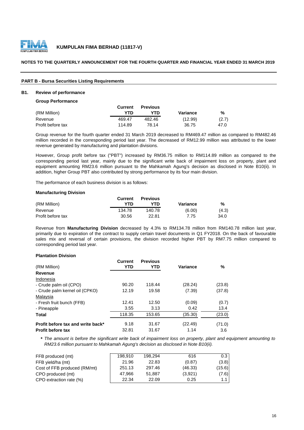

## **NOTES TO THE QUARTERLY ANNOUNCEMENT FOR THE FOURTH QUARTER AND FINANCIAL YEAR ENDED 31 MARCH 2019**

## **PART B - Bursa Securities Listing Requirements**

#### **B1. Review of performance**

#### **Group Performance**

|                   | Current | <b>Previous</b> |          |       |
|-------------------|---------|-----------------|----------|-------|
| (RM Million)      | YTD     | YTN             | Variance | %     |
| Revenue           | 469.47  | 482.46          | (12.99)  | (2.7) |
| Profit before tax | 114.89  | 78.14           | 36.75    | 47.0  |

Group revenue for the fourth quarter ended 31 March 2019 decreased to RM469.47 million as compared to RM482.46 million recorded in the corresponding period last year. The decreased of RM12.99 million was attributed to the lower revenue generated by manufacturing and plantation divisions.

However, Group profit before tax ("PBT") increased by RM36.75 million to RM114.89 million as compared to the corresponding period last year, mainly due to the significant write back of impairment loss on property, plant and equipment amounting RM23.6 million pursuant to the Mahkamah Agung's decision as disclosed in Note B10(ii). In addition, higher Group PBT also contributed by strong performance by its four main division.

The performance of each business division is as follows:

## **Manufacturing Division**

|                   | Current | <b>Previous</b> |          |       |
|-------------------|---------|-----------------|----------|-------|
| (RM Million)      | YTD     | YTD             | Variance | %     |
| Revenue           | 134.78  | 140.78          | (6.00)   | (4.3) |
| Profit before tax | 30.56   | 22.81           | 7.75     | 34.0  |

Revenue from **Manufacturing Division** decreased by 4.3% to RM134.78 million from RM140.78 million last year, primarily due to expiration of the contract to supply certain travel documents in Q1 FY2018. On the back of favourable sales mix and reversal of certain provisions, the division recorded higher PBT by RM7.75 million compared to corresponding period last year.

## **Plantation Division**

| (RM Million)                      | <b>Current</b><br>YTD | <b>Previous</b><br>YTD | <b>Variance</b> | %      |
|-----------------------------------|-----------------------|------------------------|-----------------|--------|
| Revenue                           |                       |                        |                 |        |
| Indonesia                         |                       |                        |                 |        |
| - Crude palm oil (CPO)            | 90.20                 | 118.44                 | (28.24)         | (23.8) |
| - Crude palm kernel oil (CPKO)    | 12.19                 | 19.58                  | (7.39)          | (37.8) |
| Malaysia                          |                       |                        |                 |        |
| - Fresh fruit bunch (FFB)         | 12.41                 | 12.50                  | (0.09)          | (0.7)  |
| - Pineapple                       | 3.55                  | 3.13                   | 0.42            | 13.4   |
| Total                             | 118.35                | 153.65                 | (35.30)         | (23.0) |
| Profit before tax and write back* | 9.18                  | 31.67                  | (22.49)         | (71.0) |
| <b>Profit before tax</b>          | 32.81                 | 31.67                  | 1.14            | 3.6    |

\* The amount is before the significant write back of impairment loss on property, plant and equipment amounting to *RM23.6 million pursuant to Mahkamah Agung's decision as disclosed in Note B10(ii).*

| FFB produced (mt)            | 198.910 | 198.294 | 616     | 0.3    |
|------------------------------|---------|---------|---------|--------|
| FFB yield/ha (mt)            | 21.96   | 22.83   | (0.87)  | (3.8)  |
| Cost of FFB produced (RM/mt) | 251.13  | 297.46  | (46.33) | (15.6) |
| CPO produced (mt)            | 47.966  | 51.887  | (3,921) | (7.6)  |
| CPO extraction rate (%)      | 22.34   | 22.09   | 0.25    | $1.1$  |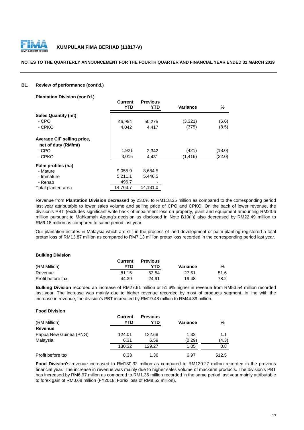

## **NOTES TO THE QUARTERLY ANNOUNCEMENT FOR THE FOURTH QUARTER AND FINANCIAL YEAR ENDED 31 MARCH 2019**

## **B1. Review of performance (cont'd.)**

**Plantation Division (cont'd.)**

|                                                   | <b>VUITEIIL</b><br><b>YTD</b> | гістіст<br>YTD. | <b>Variance</b> | %      |
|---------------------------------------------------|-------------------------------|-----------------|-----------------|--------|
| <b>Sales Quantity (mt)</b>                        |                               |                 |                 |        |
| - CPO                                             | 46,954                        | 50,275          | (3,321)         | (6.6)  |
| - CPKO                                            | 4.042                         | 4.417           | (375)           | (8.5)  |
| Average CIF selling price,<br>net of duty (RM/mt) |                               |                 |                 |        |
| - CPO                                             | 1,921                         | 2,342           | (421)           | (18.0) |
| - CPKO                                            | 3,015                         | 4,431           | (1, 416)        | (32.0) |
| Palm profiles (ha)                                |                               |                 |                 |        |
| - Mature                                          | 9,055.9                       | 8,684.5         |                 |        |
| - Immature                                        | 5,211.1                       | 5,446.5         |                 |        |
| - Rehab                                           | 496.7                         |                 |                 |        |
| Total planted area                                | 14.763.7                      | 14.131.0        |                 |        |

**Current Previous**

Revenue from **Plantation Division** decreased by 23.0% to RM118.35 million as compared to the corresponding period last year attributable to lower sales volume and selling price of CPO and CPKO. On the back of lower revenue, the division's PBT (excludes significant write back of impairment loss on property, plant and equipment amounting RM23.6 million pursuant to Mahkamah Agung's decision as disclosed in Note B10(ii)) also decreased by RM22.49 million to RM9.18 million as compared to same period last year.

Our plantation estates in Malaysia which are still in the process of land development or palm planting registered a total pretax loss of RM13.87 million as compared to RM7.13 million pretax loss recorded in the corresponding period last year.

## **Bulking Division**

|                   | Current | <b>Previous</b> |          |      |
|-------------------|---------|-----------------|----------|------|
| (RM Million)      | YTD     | YTD             | Variance | %    |
| Revenue           | 81.15   | 53.54           | 27.61    | 51.6 |
| Profit before tax | 44.39   | 24.91           | 19.48    | 78.2 |

**Bulking Division** recorded an increase of RM27.61 million or 51.6% higher in revenue from RM53.54 million recorded last year. The increase was mainly due to higher revenue recorded by most of products segment. In line with the increase in revenue, the division's PBT increased by RM19.48 million to RM44.39 million.

## **Food Division**

| (RM Million)           | Current<br>YTD | <b>Previous</b><br>YTD | <b>Variance</b> | %     |
|------------------------|----------------|------------------------|-----------------|-------|
| Revenue                |                |                        |                 |       |
| Papua New Guinea (PNG) | 124.01         | 122.68                 | 1.33            | 1.1   |
| Malaysia               | 6.31           | 6.59                   | (0.29)          | (4.3) |
|                        | 130.32         | 129.27                 | 1.05            | 0.8   |
| Profit before tax      | 8.33           | 1.36                   | 6.97            | 512.5 |

**Food Division's** revenue increased to RM130.32 million as compared to RM129.27 million recorded in the previous financial year. The increase in revenue was mainly due to higher sales volume of mackerel products. The division's PBT has increased by RM6.97 milion as compared to RM1.36 million recorded in the same period last year mainly attributable to forex gain of RM0.68 million (FY2018: Forex loss of RM8.53 million).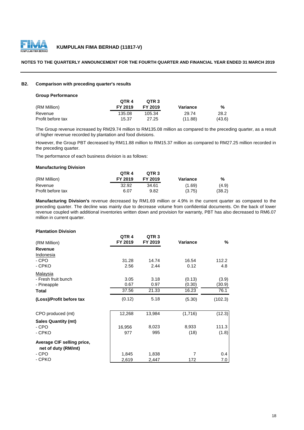

## **NOTES TO THE QUARTERLY ANNOUNCEMENT FOR THE FOURTH QUARTER AND FINANCIAL YEAR ENDED 31 MARCH 2019**

## **B2. Comparison with preceding quarter's results**

## **Group Performance**

|                   | OTR 4   | OTR <sub>3</sub> |          |        |
|-------------------|---------|------------------|----------|--------|
| (RM Million)      | FY 2019 | FY 2019          | Variance | %      |
| Revenue           | 135.08  | 105.34           | 29.74    | 28.2   |
| Profit before tax | 15.37   | 27.25            | (11.88)  | (43.6) |

The Group revenue increased by RM29.74 million to RM135.08 million as compared to the preceding quarter, as a result of higher revenue recorded by plantation and food divisions.

However, the Group PBT decreased by RM11.88 million to RM15.37 million as compared to RM27.25 million recorded in the preceding quarter.

The performance of each business division is as follows:

#### **Manufacturing Division**

|                   | OTR <sub>4</sub> | OTR <sub>3</sub> |          |        |
|-------------------|------------------|------------------|----------|--------|
| (RM Million)      | FY 2019          | FY 2019          | Variance | %      |
| Revenue           | 32.92            | 34.61            | (1.69)   | (4.9)  |
| Profit before tax | 6.07             | 9.82             | (3.75)   | (38.2) |

**Manufacturing Division's** revenue decreased by RM1.69 million or 4.9% in the current quarter as compared to the preceding quarter. The decline was mainly due to decrease volume from confidential documents. On the back of lower revenue coupled with additional inventories written down and provision for warranty, PBT has also decreased to RM6.07 million in current quarter.

#### **Plantation Division**

| QTR <sub>4</sub><br>FY 2019 | QTR 3<br>FY 2019 | <b>Variance</b> | %        |
|-----------------------------|------------------|-----------------|----------|
|                             |                  |                 |          |
|                             |                  |                 |          |
| 31.28                       | 14.74            | 16.54           | 112.2    |
| 2.56                        | 2.44             | 0.12            | 4.8      |
|                             |                  |                 |          |
| 3.05                        | 3.18             | (0.13)          | (3.9)    |
| 0.67                        | 0.97             | (0.30)          | (30.9)   |
| 37.56                       | 21.33            | 16.23           | 76.1     |
| (0.12)                      | 5.18             | (5.30)          | (102.3)  |
| 12,268                      | 13,984           | (1,716)         | (12.3)   |
|                             |                  |                 |          |
| 16,956                      | 8,023            | 8,933           | 111.3    |
| 977                         | 995              | (18)            | (1.8)    |
|                             |                  |                 |          |
|                             |                  |                 | 0.4      |
|                             |                  |                 | 7.0      |
|                             | 1,845<br>2,619   | 1,838<br>2,447  | 7<br>172 |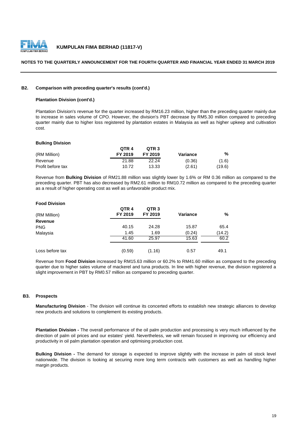

## **NOTES TO THE QUARTERLY ANNOUNCEMENT FOR THE FOURTH QUARTER AND FINANCIAL YEAR ENDED 31 MARCH 2019**

## **B2. Comparison with preceding quarter's results (cont'd.)**

## **Plantation Division (cont'd.)**

Plantation Division's revenue for the quarter increased by RM16.23 million, higher than the preceding quarter mainly due to increase in sales volume of CPO. However, the division's PBT decrease by RM5.30 million compared to preceding quarter mainly due to higher loss registered by plantation estates in Malaysia as well as higher upkeep and cultivation cost.

#### **Bulking Division**

|                   | OTR <sub>4</sub> | OTR <sub>3</sub> |          |        |
|-------------------|------------------|------------------|----------|--------|
| (RM Million)      | FY 2019          | FY 2019          | Variance | %      |
| Revenue           | 21.88            | 22.24            | (0.36)   | (1.6)  |
| Profit before tax | 10.72            | 13.33            | (2.61)   | (19.6) |

Revenue from **Bulking Division** of RM21.88 million was slightly lower by 1.6% or RM 0.36 million as compared to the preceding quarter. PBT has also decreased by RM2.61 million to RM10.72 million as compared to the preceding quarter as a result of higher operating cost as well as unfavorable product mix.

## **Food Division**

| (RM Million)    | QTR <sub>4</sub><br>FY 2019 | QTR <sub>3</sub><br>FY 2019 | <b>Variance</b> | %      |
|-----------------|-----------------------------|-----------------------------|-----------------|--------|
| <b>Revenue</b>  |                             |                             |                 |        |
| <b>PNG</b>      | 40.15                       | 24.28                       | 15.87           | 65.4   |
| Malaysia        | 1.45                        | 1.69                        | (0.24)          | (14.2) |
|                 | 41.60                       | 25.97                       | 15.63           | 60.2   |
| Loss before tax | (0.59)                      | (1.16)                      | 0.57            | 49.1   |

Revenue from **Food Division** increased by RM15.63 million or 60.2% to RM41.60 million as compared to the preceding quarter due to higher sales volume of mackerel and tuna products. In line with higher revenue, the division registered a slight improvement in PBT by RM0.57 million as compared to preceding quarter.

## **B3. Prospects**

**Manufacturing Division** - The division will continue its concerted efforts to establish new strategic alliances to develop new products and solutions to complement its existing products.

**Plantation Division -** The overall performance of the oil palm production and processing is very much influenced by the direction of palm oil prices and our estates' yield. Nevertheless, we will remain focused in improving our efficiency and productivity in oil palm plantation operation and optimising production cost.

**Bulking Division -** The demand for storage is expected to improve slightly with the increase in palm oil stock level nationwide. The division is looking at securing more long term contracts with customers as well as handling higher margin products.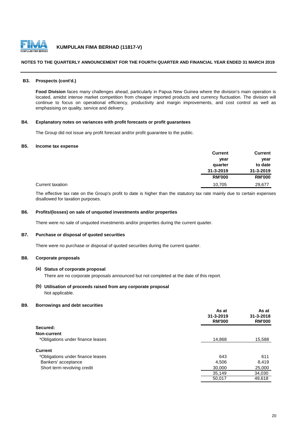

## **NOTES TO THE QUARTERLY ANNOUNCEMENT FOR THE FOURTH QUARTER AND FINANCIAL YEAR ENDED 31 MARCH 2019**

## **B3. Prospects (cont'd.)**

**Food Division** faces many challenges ahead, particularly in Papua New Guinea where the division's main operation is located, amidst intense market competition from cheaper imported products and currency fluctuation. The division will continue to focus on operational efficiency, productivity and margin improvements, and cost control as well as emphasising on quality, service and delivery.

## **B4. Explanatory notes on variances with profit forecasts or profit guarantees**

The Group did not issue any profit forecast and/or profit guarantee to the public.

#### **B5. Income tax expense**

|                  | <b>Current</b> | <b>Current</b> |
|------------------|----------------|----------------|
|                  | year           | year           |
|                  | quarter        | to date        |
|                  | 31-3-2019      | 31-3-2019      |
|                  | <b>RM'000</b>  | <b>RM'000</b>  |
| Current taxation | 10,705         | 29,677         |

The effective tax rate on the Group's profit to date is higher than the statutory tax rate mainly due to certain expenses disallowed for taxation purposes.

## **B6. Profits/(losses) on sale of unquoted investments and/or properties**

There were no sale of unquoted investments and/or properties during the current quarter.

#### **B7. Purchase or disposal of quoted securities**

There were no purchase or disposal of quoted securities during the current quarter.

## **B8. Corporate proposals**

#### **(a) Status of corporate proposal**

There are no corporate proposals announced but not completed at the date of this report.

**(b) Utilisation of proceeds raised from any corporate proposal** Not applicable.

## **B9. Borrowings and debt securities**

|                                   | As at<br>$31 - 3 - 2019$<br><b>RM'000</b> | As at<br>$31 - 3 - 2018$<br><b>RM'000</b> |
|-----------------------------------|-------------------------------------------|-------------------------------------------|
| Secured:                          |                                           |                                           |
| Non-current                       |                                           |                                           |
| *Obligations under finance leases | 14,868                                    | 15,588                                    |
| <b>Current</b>                    |                                           |                                           |
| *Obligations under finance leases | 643                                       | 611                                       |
| Bankers' acceptance               | 4,506                                     | 8,419                                     |
| Short term revolving credit       | 30,000                                    | 25,000                                    |
|                                   | 35,149                                    | 34,030                                    |
|                                   | 50,017                                    | 49,618                                    |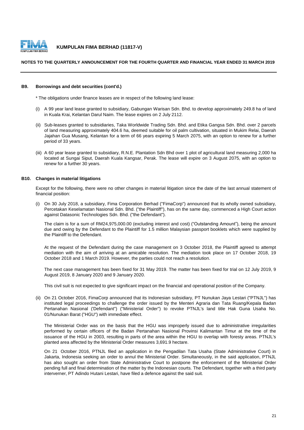

## **NOTES TO THE QUARTERLY ANNOUNCEMENT FOR THE FOURTH QUARTER AND FINANCIAL YEAR ENDED 31 MARCH 2019**

## **B9. Borrowings and debt securities (cont'd.)**

\* The obligations under finance leases are in respect of the following land lease:

- (i) A 99 year land lease granted to subsidiary, Gabungan Warisan Sdn. Bhd. to develop approximately 249.8 ha of land in Kuala Krai, Kelantan Darul Naim. The lease expires on 2 July 2112.
- (ii) Sub-leases granted to subsidiaries, Taka Worldwide Trading Sdn. Bhd. and Etika Gangsa Sdn. Bhd. over 2 parcels of land measuring approximately 404.6 ha, deemed suitable for oil palm cultivation, situated in Mukim Relai, Daerah Jajahan Gua Musang, Kelantan for a term of 66 years expiring 5 March 2075, with an option to renew for a further period of 33 years.
- (iii) A 60 year lease granted to subsidiary, R.N.E. Plantation Sdn Bhd over 1 plot of agricultural land measuring 2,000 ha located at Sungai Siput, Daerah Kuala Kangsar, Perak. The lease will expire on 3 August 2075, with an option to renew for a further 30 years.

## **B10. Changes in material litigations**

Except for the following, there were no other changes in material litigation since the date of the last annual statement of financial position:

(i) On 30 July 2018, a subsidiary, Fima Corporation Berhad ("FimaCorp") announced that its wholly owned subsidiary, Percetakan Keselamatan Nasional Sdn. Bhd. ("the Plaintiff"), has on the same day, commenced a High Court action against Datasonic Technologies Sdn. Bhd. ("the Defendant").

The claim is for a sum of RM24,975,000.00 (excluding interest and cost) ("Outstanding Amount"), being the amount due and owing by the Defendant to the Plaintiff for 1.5 million Malaysian passport booklets which were supplied by the Plaintiff to the Defendant.

At the request of the Defendant during the case management on 3 October 2018, the Plaintiff agreed to attempt mediation with the aim of arriving at an amicable resolution. The mediation took place on 17 October 2018, 19 October 2018 and 1 March 2019. However, the parties could not reach a resolution.

The next case management has been fixed for 31 May 2019. The matter has been fixed for trial on 12 July 2019, 9 August 2019, 8 January 2020 and 9 January 2020.

This civil suit is not expected to give significant impact on the financial and operational position of the Company.

(ii) On 21 October 2016, FimaCorp announced that its Indonesian subsidiary, PT Nunukan Jaya Lestari ("PTNJL") has instituted legal proceedings to challenge the order issued by the Menteri Agraria dan Tata Ruang/Kepala Badan Pertanahan Nasional ('Defendant") ("Ministerial Order") to revoke PTNJL's land title Hak Guna Usaha No. 01/Nunukan Barat ("HGU") with immediate effect.

The Ministerial Order was on the basis that the HGU was improperly issued due to administrative irregularities performed by certain officers of the Badan Pertanahan Nasional Provinsi Kalimantan Timur at the time of the issuance of the HGU in 2003, resulting in parts of the area within the HGU to overlap with foresty areas. PTNJL's planted area affected by the Ministerial Order measures 3,691.9 hectare.

On 21 October 2016, PTNJL filed an application in the Pengadilan Tata Usaha (State Administrative Court) in Jakarta, Indonesia seeking an order to annul the Ministerial Order. Simultaneously, in the said application, PTNJL has also sought an order from State Administrative Court to postpone the enforcement of the Ministerial Order pending full and final determination of the matter by the Indonesian courts. The Defendant, together with a third party interverner, PT Adindo Hutani Lestari, have filed a defence against the said suit.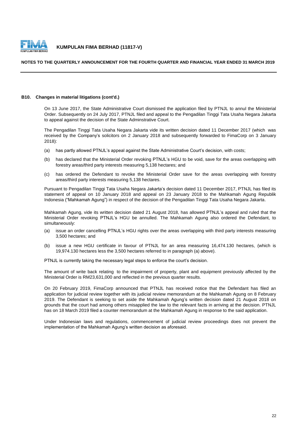

## **NOTES TO THE QUARTERLY ANNOUNCEMENT FOR THE FOURTH QUARTER AND FINANCIAL YEAR ENDED 31 MARCH 2019**

## **B10. Changes in material litigations (cont'd.)**

On 13 June 2017, the State Administrative Court dismissed the application filed by PTNJL to annul the Ministerial Order. Subsequently on 24 July 2017, PTNJL filed and appeal to the Pengadilan Tinggi Tata Usaha Negara Jakarta to appeal against the decision of the State Adminstrative Court.

The Pengadilan Tinggi Tata Usaha Negara Jakarta vide its written decision dated 11 December 2017 (which was received by the Company's solicitors on 2 January 2018 and subsequently forwarded to FimaCorp on 3 January 2018):

- (a) has partly allowed PTNJL's appeal against the State Administrative Court's decision, with costs;
- (b) has declared that the Ministerial Order revoking PTNJL's HGU to be void, save for the areas overlapping with forestry areas/third party interests measuring 5,138 hectares; and
- $(c)$ has ordered the Defendant to revoke the Ministerial Order save for the areas overlapping with forestry areas/third party interests measuring 5,138 hectares.

Pursuant to Pengadilan Tinggi Tata Usaha Negara Jakarta's decision dated 11 December 2017, PTNJL has filed its statement of appeal on 10 January 2018 and appeal on 23 January 2018 to the Mahkamah Agung Republik Indonesia ("Mahkamah Agung") in respect of the decision of the Pengadilan Tinggi Tata Usaha Negara Jakarta.

Mahkamah Agung, vide its written decision dated 21 August 2018, has allowed PTNJL's appeal and ruled that the Ministerial Order revoking PTNJL's HGU be annulled. The Mahkamah Agung also ordered the Defendant, to simultaneously:

- (a) issue an order cancelling PTNJL's HGU rights over the areas overlapping with third party interests measuring 3,500 hectares; and
- (b) issue a new HGU certificate in favour of PTNJL for an area measuring 16,474.130 hectares, (which is 19,974.130 hectares less the 3,500 hectares referred to in paragraph (a) above).

PTNJL is currently taking the necessary legal steps to enforce the court's decision.

The amount of write back relating to the impairment of property, plant and equipment previously affected by the Ministerial Order is RM23,631,000 and reflected in the previous quarter results.

On 20 February 2019, FimaCorp announced that PTNJL has received notice that the Defendant has filed an application for judicial review together with its judicial review memorandum at the Mahkamah Agung on 8 February 2019. The Defendant is seeking to set aside the Mahkamah Agung's written decision dated 21 August 2018 on grounds that the court had among others misapplied the law to the relevant facts in arriving at the decision. PTNJL has on 18 March 2019 filed a counter memorandum at the Mahkamah Agung in response to the said application.

Under Indonesian laws and regulations, commencement of judicial review proceedings does not prevent the implementation of the Mahkamah Agung's written decision as aforesaid.